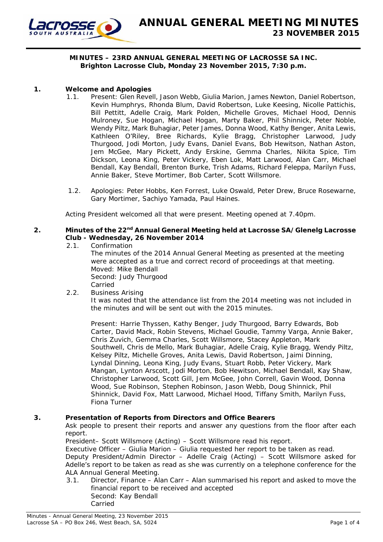

#### **MINUTES – 23RD ANNUAL GENERAL MEETING OF LACROSSE SA INC. Brighton Lacrosse Club, Monday 23 November 2015, 7:30 p.m.**

## **1. Welcome and Apologies**

- 1.1. Present: Glen Revell, Jason Webb, Giulia Marion, James Newton, Daniel Robertson, Kevin Humphrys, Rhonda Blum, David Robertson, Luke Keesing, Nicolle Pattichis, Bill Pettitt, Adelle Craig, Mark Polden, Michelle Groves, Michael Hood, Dennis Mulroney, Sue Hogan, Michael Hogan, Marty Baker, Phil Shinnick, Peter Noble, Wendy Piltz, Mark Buhagiar, Peter James, Donna Wood, Kathy Benger, Anita Lewis, Kathleen O'Riley, Bree Richards, Kylie Bragg, Christopher Larwood, Judy Thurgood, Jodi Morton, Judy Evans, Daniel Evans, Bob Hewitson, Nathan Aston, Jem McGee, Mary Pickett, Andy Erskine, Gemma Charles, Nikita Spice, Tim Dickson, Leona King, Peter Vickery, Eben Lok, Matt Larwood, Alan Carr, Michael Bendall, Kay Bendall, Brenton Burke, Trish Adams, Richard Feleppa, Marilyn Fuss, Annie Baker, Steve Mortimer, Bob Carter, Scott Willsmore.
- 1.2. Apologies: Peter Hobbs, Ken Forrest, Luke Oswald, Peter Drew, Bruce Rosewarne, Gary Mortimer, Sachiyo Yamada, Paul Haines.

Acting President welcomed all that were present. Meeting opened at 7.40pm.

## **2. Minutes of the 22nd Annual General Meeting held at Lacrosse SA/Glenelg Lacrosse Club - Wednesday, 26 November 2014**

2.1. Confirmation

The minutes of the 2014 Annual General Meeting as presented at the meeting were accepted as a true and correct record of proceedings at that meeting. Moved: Mike Bendall Second: Judy Thurgood Carried

2.2. Business Arising

It was noted that the attendance list from the 2014 meeting was not included in the minutes and will be sent out with the 2015 minutes.

Present: Harrie Thyssen, Kathy Benger, Judy Thurgood, Barry Edwards, Bob Carter, David Mack, Robin Stevens, Michael Goudie, Tammy Varga, Annie Baker, Chris Zuvich, Gemma Charles, Scott Willsmore, Stacey Appleton, Mark Southwell, Chris de Mello, Mark Buhagiar, Adelle Craig, Kylie Bragg, Wendy Piltz, Kelsey Piltz, Michelle Groves, Anita Lewis, David Robertson, Jaimi Dinning, Lyndal Dinning, Leona King, Judy Evans, Stuart Robb, Peter Vickery, Mark Mangan, Lynton Arscott, Jodi Morton, Bob Hewitson, Michael Bendall, Kay Shaw, Christopher Larwood, Scott Gill, Jem McGee, John Correll, Gavin Wood, Donna Wood, Sue Robinson, Stephen Robinson, Jason Webb, Doug Shinnick, Phil Shinnick, David Fox, Matt Larwood, Michael Hood, Tiffany Smith, Marilyn Fuss, Fiona Turner

#### **3. Presentation of Reports from Directors and Office Bearers**

Ask people to present their reports and answer any questions from the floor after each report.

President– Scott Willsmore (Acting) – Scott Willsmore read his report.

Executive Officer – Giulia Marion – Giulia requested her report to be taken as read.

 Deputy President/Admin Director – Adelle Craig (Acting) – Scott Willsmore asked for Adelle's report to be taken as read as she was currently on a telephone conference for the ALA Annual General Meeting.

 3.1. Director, Finance – Alan Carr – Alan summarised his report and asked to move the financial report to be received and accepted Second: Kay Bendall Carried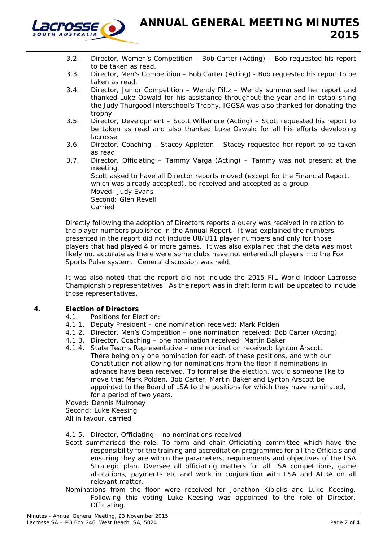

- 3.2. Director, Women's Competition Bob Carter (Acting) Bob requested his report to be taken as read.
- 3.3. Director, Men's Competition Bob Carter (Acting) Bob requested his report to be taken as read.
- 3.4. Director, Junior Competition Wendy Piltz Wendy summarised her report and thanked Luke Oswald for his assistance throughout the year and in establishing the Judy Thurgood Interschool's Trophy, IGGSA was also thanked for donating the trophy.
- 3.5. Director, Development Scott Willsmore (Acting) Scott requested his report to be taken as read and also thanked Luke Oswald for all his efforts developing lacrosse.
- 3.6. Director, Coaching Stacey Appleton Stacey requested her report to be taken as read.
- 3.7. Director, Officiating Tammy Varga (Acting) Tammy was not present at the meeting. Scott asked to have all Director reports moved (except for the Financial Report, which was already accepted), be received and accepted as a group. Moved: Judy Evans Second: Glen Revell Carried

Directly following the adoption of Directors reports a query was received in relation to the player numbers published in the Annual Report. It was explained the numbers presented in the report did not include U8/U11 player numbers and only for those players that had played 4 or more games. It was also explained that the data was most likely not accurate as there were some clubs have not entered all players into the Fox Sports Pulse system. General discussion was held.

It was also noted that the report did not include the 2015 FIL World Indoor Lacrosse Championship representatives. As the report was in draft form it will be updated to include those representatives.

# **4. Election of Directors**

- 4.1. Positions for Election:
- 4.1.1. Deputy President one nomination received: Mark Polden
- 4.1.2. Director, Men's Competition one nomination received: Bob Carter (Acting)
- 4.1.3. Director, Coaching one nomination received: Martin Baker
- 4.1.4. State Teams Representative one nomination received: Lynton Arscott There being only one nomination for each of these positions, and with our Constitution not allowing for nominations from the floor if nominations in advance have been received. To formalise the election, would someone like to move that Mark Polden, Bob Carter, Martin Baker and Lynton Arscott be appointed to the Board of LSA to the positions for which they have nominated, for a period of two years.

Moved: Dennis Mulroney

Second: Luke Keesing

All in favour, carried

#### 4.1.5. Director, Officiating – no nominations received

- Scott summarised the role: To form and chair Officiating committee which have the responsibility for the training and accreditation programmes for all the Officials and ensuring they are within the parameters, requirements and objectives of the LSA Strategic plan. Oversee all officiating matters for all LSA competitions, game allocations, payments etc and work in conjunction with LSA and ALRA on all relevant matter.
- Nominations from the floor were received for Jonathon Kiploks and Luke Keesing. Following this voting Luke Keesing was appointed to the role of Director, Officiating.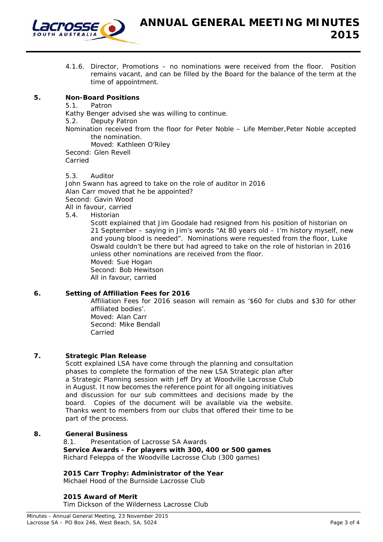

4.1.6. Director, Promotions – no nominations were received from the floor. Position remains vacant, and can be filled by the Board for the balance of the term at the time of appointment.

## **5. Non-Board Positions**

 5.1. Patron Kathy Benger advised she was willing to continue. 5.2. Deputy Patron Nomination received from the floor for Peter Noble – Life Member,Peter Noble accepted the nomination. Moved: Kathleen O'Riley Second: Glen Revell Carried

5.3. Auditor John Swann has agreed to take on the role of auditor in 2016 Alan Carr moved that he be appointed? Second: Gavin Wood All in favour, carried 5.4. Historian

Scott explained that Jim Goodale had resigned from his position of historian on 21 September – saying in Jim's words "At 80 years old – I'm history myself, new and young blood is needed". Nominations were requested from the floor, Luke Oswald couldn't be there but had agreed to take on the role of historian in 2016 unless other nominations are received from the floor. Moved: Sue Hogan Second: Bob Hewitson

All in favour, carried

#### **6. Setting of Affiliation Fees for 2016**

Affiliation Fees for 2016 season will remain as '\$60 for clubs and \$30 for other affiliated bodies'. Moved: Alan Carr

Second: Mike Bendall Carried

#### **7. Strategic Plan Release**

 Scott explained LSA have come through the planning and consultation phases to complete the formation of the new LSA Strategic plan after a Strategic Planning session with Jeff Dry at Woodville Lacrosse Club in August. It now becomes the reference point for all ongoing initiatives and discussion for our sub committees and decisions made by the board. Copies of the document will be available via the website. Thanks went to members from our clubs that offered their time to be part of the process.

#### **8. General Business**

 8.1. Presentation of Lacrosse SA Awards **Service Awards - For players with 300, 400 or 500 games**  Richard Feleppa of the Woodville Lacrosse Club (300 games)

#### **2015 Carr Trophy: Administrator of the Year**

Michael Hood of the Burnside Lacrosse Club

# **2015 Award of Merit**

Tim Dickson of the Wilderness Lacrosse Club